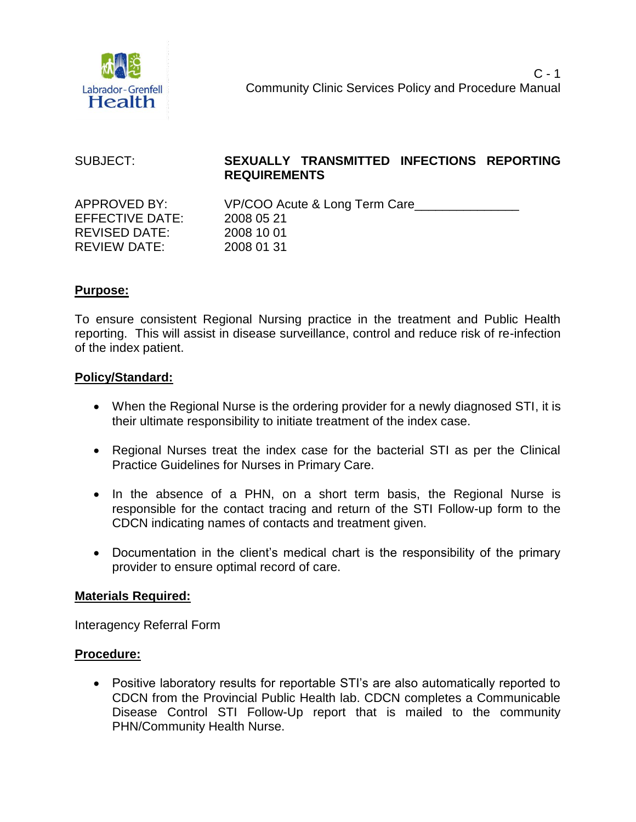

| SUBJECT:             | SEXUALLY TRANSMITTED INFECTIONS REPORTING<br><b>REQUIREMENTS</b> |
|----------------------|------------------------------------------------------------------|
| APPROVED BY:         | VP/COO Acute & Long Term Care                                    |
| EFFECTIVE DATE:      | 2008 05 21                                                       |
| <b>REVISED DATE:</b> | 2008 10 01                                                       |
| <b>REVIEW DATE:</b>  | 2008 01 31                                                       |

### **Purpose:**

To ensure consistent Regional Nursing practice in the treatment and Public Health reporting. This will assist in disease surveillance, control and reduce risk of re-infection of the index patient.

### **Policy/Standard:**

- When the Regional Nurse is the ordering provider for a newly diagnosed STI, it is their ultimate responsibility to initiate treatment of the index case.
- Regional Nurses treat the index case for the bacterial STI as per the Clinical Practice Guidelines for Nurses in Primary Care.
- In the absence of a PHN, on a short term basis, the Regional Nurse is responsible for the contact tracing and return of the STI Follow-up form to the CDCN indicating names of contacts and treatment given.
- Documentation in the client's medical chart is the responsibility of the primary provider to ensure optimal record of care.

#### **Materials Required:**

Interagency Referral Form

### **Procedure:**

 Positive laboratory results for reportable STI's are also automatically reported to CDCN from the Provincial Public Health lab. CDCN completes a Communicable Disease Control STI Follow-Up report that is mailed to the community PHN/Community Health Nurse.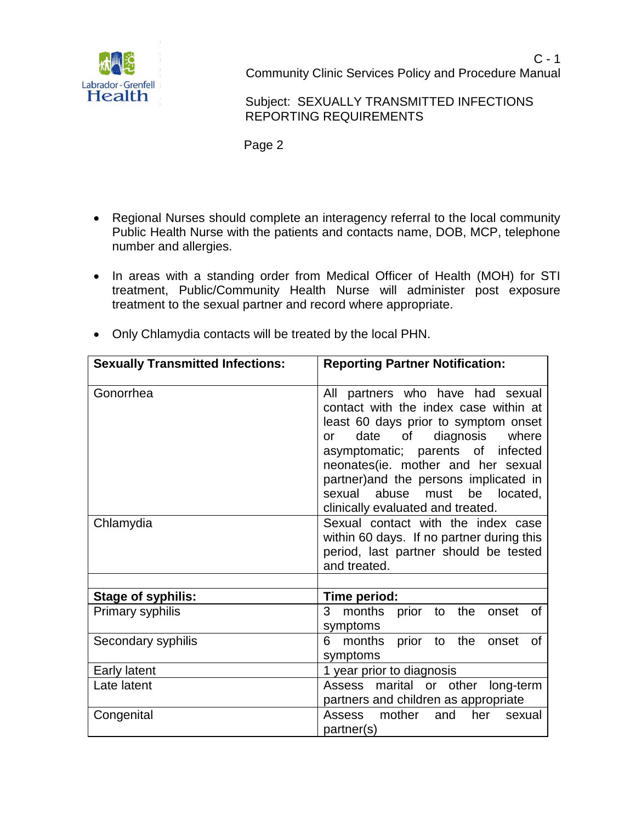

 Subject: SEXUALLY TRANSMITTED INFECTIONS REPORTING REQUIREMENTS

Page 2

- Regional Nurses should complete an interagency referral to the local community Public Health Nurse with the patients and contacts name, DOB, MCP, telephone number and allergies.
- In areas with a standing order from Medical Officer of Health (MOH) for STI treatment, Public/Community Health Nurse will administer post exposure treatment to the sexual partner and record where appropriate.
- Only Chlamydia contacts will be treated by the local PHN.

| <b>Sexually Transmitted Infections:</b> | <b>Reporting Partner Notification:</b>                                                                                                                                                                                                                                                                                                                           |  |  |  |  |
|-----------------------------------------|------------------------------------------------------------------------------------------------------------------------------------------------------------------------------------------------------------------------------------------------------------------------------------------------------------------------------------------------------------------|--|--|--|--|
| Gonorrhea                               | All partners who have had sexual<br>contact with the index case within at<br>least 60 days prior to symptom onset<br>diagnosis where<br>date of<br><b>or</b><br>asymptomatic; parents of infected<br>neonates(ie. mother and her sexual<br>partner) and the persons implicated in<br>sexual<br>abuse<br>must<br>be located,<br>clinically evaluated and treated. |  |  |  |  |
| Chlamydia                               | Sexual contact with the index case<br>within 60 days. If no partner during this<br>period, last partner should be tested<br>and treated.                                                                                                                                                                                                                         |  |  |  |  |
| <b>Stage of syphilis:</b>               | Time period:                                                                                                                                                                                                                                                                                                                                                     |  |  |  |  |
| Primary syphilis                        | months prior to the<br>3<br>onset of<br>symptoms                                                                                                                                                                                                                                                                                                                 |  |  |  |  |
| Secondary syphilis                      | 6 months prior to the<br>0f<br>onset<br>symptoms                                                                                                                                                                                                                                                                                                                 |  |  |  |  |
| Early latent                            | 1 year prior to diagnosis                                                                                                                                                                                                                                                                                                                                        |  |  |  |  |
| Late latent                             | marital or other long-term<br>Assess<br>partners and children as appropriate                                                                                                                                                                                                                                                                                     |  |  |  |  |
| Congenital                              | Assess mother<br>and<br>her<br>sexual<br>partner(s)                                                                                                                                                                                                                                                                                                              |  |  |  |  |